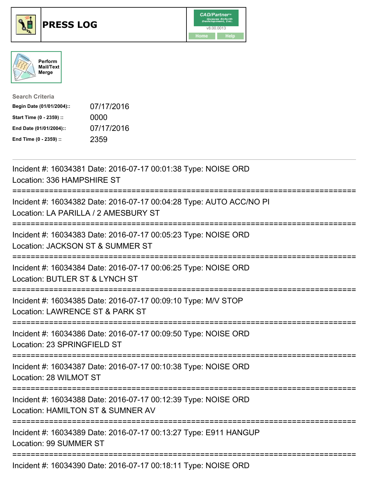





| <b>Search Criteria</b>    |            |
|---------------------------|------------|
| Begin Date (01/01/2004):: | 07/17/2016 |
| Start Time (0 - 2359) ::  | 0000       |
| End Date (01/01/2004)::   | 07/17/2016 |
| End Time (0 - 2359) ::    | 2359       |

| Incident #: 16034381 Date: 2016-07-17 00:01:38 Type: NOISE ORD<br>Location: 336 HAMPSHIRE ST                     |
|------------------------------------------------------------------------------------------------------------------|
| Incident #: 16034382 Date: 2016-07-17 00:04:28 Type: AUTO ACC/NO PI<br>Location: LA PARILLA / 2 AMESBURY ST      |
| Incident #: 16034383 Date: 2016-07-17 00:05:23 Type: NOISE ORD<br>Location: JACKSON ST & SUMMER ST               |
| Incident #: 16034384 Date: 2016-07-17 00:06:25 Type: NOISE ORD<br>Location: BUTLER ST & LYNCH ST                 |
| Incident #: 16034385 Date: 2016-07-17 00:09:10 Type: M/V STOP<br>Location: LAWRENCE ST & PARK ST<br>:=========== |
| Incident #: 16034386 Date: 2016-07-17 00:09:50 Type: NOISE ORD<br>Location: 23 SPRINGFIELD ST                    |
| Incident #: 16034387 Date: 2016-07-17 00:10:38 Type: NOISE ORD<br>Location: 28 WILMOT ST                         |
| Incident #: 16034388 Date: 2016-07-17 00:12:39 Type: NOISE ORD<br>Location: HAMILTON ST & SUMNER AV              |
| Incident #: 16034389 Date: 2016-07-17 00:13:27 Type: E911 HANGUP<br>Location: 99 SUMMER ST                       |
| Incident #: 16034390 Date: 2016-07-17 00:18:11 Type: NOISE ORD                                                   |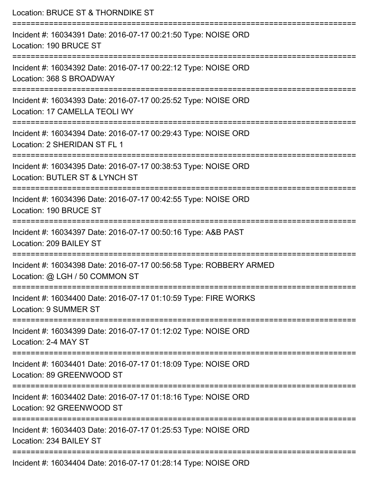| Location: BRUCE ST & THORNDIKE ST<br>======================                                                                                                          |
|----------------------------------------------------------------------------------------------------------------------------------------------------------------------|
| Incident #: 16034391 Date: 2016-07-17 00:21:50 Type: NOISE ORD<br>Location: 190 BRUCE ST<br>:====================================<br>------------------------------- |
| Incident #: 16034392 Date: 2016-07-17 00:22:12 Type: NOISE ORD<br>Location: 368 S BROADWAY                                                                           |
| Incident #: 16034393 Date: 2016-07-17 00:25:52 Type: NOISE ORD<br>Location: 17 CAMELLA TEOLI WY                                                                      |
| Incident #: 16034394 Date: 2016-07-17 00:29:43 Type: NOISE ORD<br>Location: 2 SHERIDAN ST FL 1                                                                       |
| Incident #: 16034395 Date: 2016-07-17 00:38:53 Type: NOISE ORD<br>Location: BUTLER ST & LYNCH ST                                                                     |
| Incident #: 16034396 Date: 2016-07-17 00:42:55 Type: NOISE ORD<br>Location: 190 BRUCE ST                                                                             |
| Incident #: 16034397 Date: 2016-07-17 00:50:16 Type: A&B PAST<br>Location: 209 BAILEY ST                                                                             |
| Incident #: 16034398 Date: 2016-07-17 00:56:58 Type: ROBBERY ARMED<br>Location: @ LGH / 50 COMMON ST                                                                 |
| ===============================<br>Incident #: 16034400 Date: 2016-07-17 01:10:59 Type: FIRE WORKS<br><b>Location: 9 SUMMER ST</b>                                   |
| Incident #: 16034399 Date: 2016-07-17 01:12:02 Type: NOISE ORD<br>Location: 2-4 MAY ST                                                                               |
| Incident #: 16034401 Date: 2016-07-17 01:18:09 Type: NOISE ORD<br>Location: 89 GREENWOOD ST                                                                          |
| Incident #: 16034402 Date: 2016-07-17 01:18:16 Type: NOISE ORD<br>Location: 92 GREENWOOD ST                                                                          |
| Incident #: 16034403 Date: 2016-07-17 01:25:53 Type: NOISE ORD<br>Location: 234 BAILEY ST                                                                            |
| Incident #: 16034404 Date: 2016-07-17 01:28:14 Type: NOISE ORD                                                                                                       |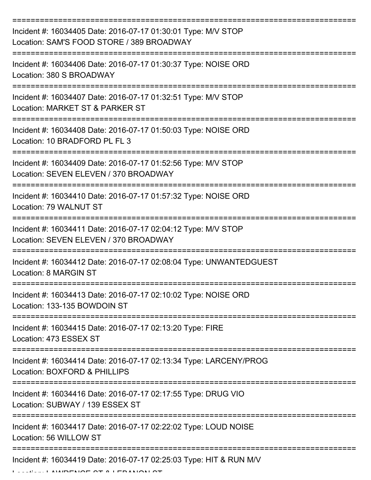| Incident #: 16034405 Date: 2016-07-17 01:30:01 Type: M/V STOP<br>Location: SAM'S FOOD STORE / 389 BROADWAY |
|------------------------------------------------------------------------------------------------------------|
| Incident #: 16034406 Date: 2016-07-17 01:30:37 Type: NOISE ORD<br>Location: 380 S BROADWAY                 |
| Incident #: 16034407 Date: 2016-07-17 01:32:51 Type: M/V STOP<br>Location: MARKET ST & PARKER ST           |
| Incident #: 16034408 Date: 2016-07-17 01:50:03 Type: NOISE ORD<br>Location: 10 BRADFORD PL FL 3            |
| Incident #: 16034409 Date: 2016-07-17 01:52:56 Type: M/V STOP<br>Location: SEVEN ELEVEN / 370 BROADWAY     |
| Incident #: 16034410 Date: 2016-07-17 01:57:32 Type: NOISE ORD<br>Location: 79 WALNUT ST                   |
| Incident #: 16034411 Date: 2016-07-17 02:04:12 Type: M/V STOP<br>Location: SEVEN ELEVEN / 370 BROADWAY     |
| Incident #: 16034412 Date: 2016-07-17 02:08:04 Type: UNWANTEDGUEST<br>Location: 8 MARGIN ST                |
| Incident #: 16034413 Date: 2016-07-17 02:10:02 Type: NOISE ORD<br>Location: 133-135 BOWDOIN ST             |
| Incident #: 16034415 Date: 2016-07-17 02:13:20 Type: FIRE<br>Location: 473 ESSEX ST                        |
| Incident #: 16034414 Date: 2016-07-17 02:13:34 Type: LARCENY/PROG<br>Location: BOXFORD & PHILLIPS          |
| Incident #: 16034416 Date: 2016-07-17 02:17:55 Type: DRUG VIO<br>Location: SUBWAY / 139 ESSEX ST           |
| Incident #: 16034417 Date: 2016-07-17 02:22:02 Type: LOUD NOISE<br>Location: 56 WILLOW ST                  |
| Incident #: 16034419 Date: 2016-07-17 02:25:03 Type: HIT & RUN M/V                                         |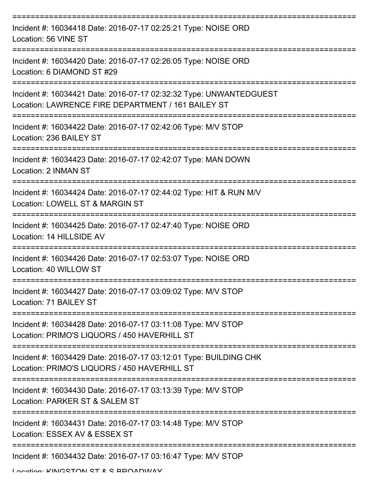| Incident #: 16034418 Date: 2016-07-17 02:25:21 Type: NOISE ORD<br>Location: 56 VINE ST                                   |
|--------------------------------------------------------------------------------------------------------------------------|
| Incident #: 16034420 Date: 2016-07-17 02:26:05 Type: NOISE ORD<br>Location: 6 DIAMOND ST #29                             |
| Incident #: 16034421 Date: 2016-07-17 02:32:32 Type: UNWANTEDGUEST<br>Location: LAWRENCE FIRE DEPARTMENT / 161 BAILEY ST |
| Incident #: 16034422 Date: 2016-07-17 02:42:06 Type: M/V STOP<br>Location: 236 BAILEY ST                                 |
| Incident #: 16034423 Date: 2016-07-17 02:42:07 Type: MAN DOWN<br>Location: 2 INMAN ST                                    |
| Incident #: 16034424 Date: 2016-07-17 02:44:02 Type: HIT & RUN M/V<br>Location: LOWELL ST & MARGIN ST                    |
| Incident #: 16034425 Date: 2016-07-17 02:47:40 Type: NOISE ORD<br>Location: 14 HILLSIDE AV                               |
| Incident #: 16034426 Date: 2016-07-17 02:53:07 Type: NOISE ORD<br>Location: 40 WILLOW ST                                 |
| Incident #: 16034427 Date: 2016-07-17 03:09:02 Type: M/V STOP<br>Location: 71 BAILEY ST                                  |
| Incident #: 16034428 Date: 2016-07-17 03:11:08 Type: M/V STOP<br>Location: PRIMO'S LIQUORS / 450 HAVERHILL ST            |
| Incident #: 16034429 Date: 2016-07-17 03:12:01 Type: BUILDING CHK<br>Location: PRIMO'S LIQUORS / 450 HAVERHILL ST        |
| Incident #: 16034430 Date: 2016-07-17 03:13:39 Type: M/V STOP<br>Location: PARKER ST & SALEM ST                          |
| Incident #: 16034431 Date: 2016-07-17 03:14:48 Type: M/V STOP<br>Location: ESSEX AV & ESSEX ST                           |
| Incident #: 16034432 Date: 2016-07-17 03:16:47 Type: M/V STOP<br>Location: KINICSTON ST & S DDOADMAV                     |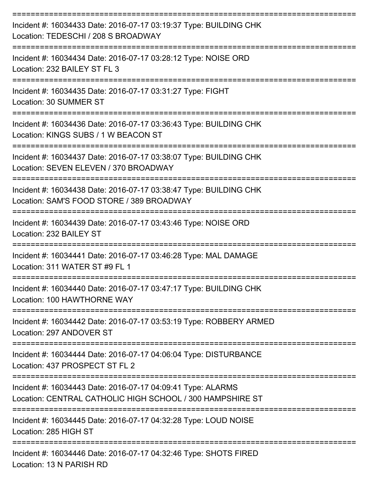| Incident #: 16034433 Date: 2016-07-17 03:19:37 Type: BUILDING CHK<br>Location: TEDESCHI / 208 S BROADWAY                 |
|--------------------------------------------------------------------------------------------------------------------------|
| Incident #: 16034434 Date: 2016-07-17 03:28:12 Type: NOISE ORD<br>Location: 232 BAILEY ST FL 3                           |
| Incident #: 16034435 Date: 2016-07-17 03:31:27 Type: FIGHT<br>Location: 30 SUMMER ST                                     |
| Incident #: 16034436 Date: 2016-07-17 03:36:43 Type: BUILDING CHK<br>Location: KINGS SUBS / 1 W BEACON ST                |
| Incident #: 16034437 Date: 2016-07-17 03:38:07 Type: BUILDING CHK<br>Location: SEVEN ELEVEN / 370 BROADWAY               |
| Incident #: 16034438 Date: 2016-07-17 03:38:47 Type: BUILDING CHK<br>Location: SAM'S FOOD STORE / 389 BROADWAY           |
| Incident #: 16034439 Date: 2016-07-17 03:43:46 Type: NOISE ORD<br>Location: 232 BAILEY ST                                |
| Incident #: 16034441 Date: 2016-07-17 03:46:28 Type: MAL DAMAGE<br>Location: 311 WATER ST #9 FL 1                        |
| Incident #: 16034440 Date: 2016-07-17 03:47:17 Type: BUILDING CHK<br>Location: 100 HAWTHORNE WAY                         |
| ------------<br>Incident #: 16034442 Date: 2016-07-17 03:53:19 Type: ROBBERY ARMED<br>Location: 297 ANDOVER ST           |
| Incident #: 16034444 Date: 2016-07-17 04:06:04 Type: DISTURBANCE<br>Location: 437 PROSPECT ST FL 2                       |
| Incident #: 16034443 Date: 2016-07-17 04:09:41 Type: ALARMS<br>Location: CENTRAL CATHOLIC HIGH SCHOOL / 300 HAMPSHIRE ST |
| Incident #: 16034445 Date: 2016-07-17 04:32:28 Type: LOUD NOISE<br>Location: 285 HIGH ST                                 |
| Incident #: 16034446 Date: 2016-07-17 04:32:46 Type: SHOTS FIRED<br>Location: 13 N PARISH RD                             |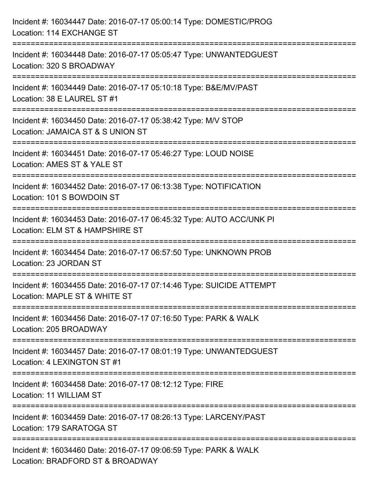| Incident #: 16034447 Date: 2016-07-17 05:00:14 Type: DOMESTIC/PROG<br>Location: 114 EXCHANGE ST                                                                     |
|---------------------------------------------------------------------------------------------------------------------------------------------------------------------|
| ======================================<br>=======================<br>Incident #: 16034448 Date: 2016-07-17 05:05:47 Type: UNWANTEDGUEST<br>Location: 320 S BROADWAY |
| Incident #: 16034449 Date: 2016-07-17 05:10:18 Type: B&E/MV/PAST<br>Location: 38 E LAUREL ST #1                                                                     |
| Incident #: 16034450 Date: 2016-07-17 05:38:42 Type: M/V STOP<br>Location: JAMAICA ST & S UNION ST<br>:====================                                         |
| Incident #: 16034451 Date: 2016-07-17 05:46:27 Type: LOUD NOISE<br>Location: AMES ST & YALE ST                                                                      |
| Incident #: 16034452 Date: 2016-07-17 06:13:38 Type: NOTIFICATION<br>Location: 101 S BOWDOIN ST                                                                     |
| Incident #: 16034453 Date: 2016-07-17 06:45:32 Type: AUTO ACC/UNK PI<br>Location: ELM ST & HAMPSHIRE ST                                                             |
| Incident #: 16034454 Date: 2016-07-17 06:57:50 Type: UNKNOWN PROB<br>Location: 23 JORDAN ST                                                                         |
| Incident #: 16034455 Date: 2016-07-17 07:14:46 Type: SUICIDE ATTEMPT<br>Location: MAPLE ST & WHITE ST                                                               |
| Incident #: 16034456 Date: 2016-07-17 07:16:50 Type: PARK & WALK<br>Location: 205 BROADWAY                                                                          |
| Incident #: 16034457 Date: 2016-07-17 08:01:19 Type: UNWANTEDGUEST<br>Location: 4 LEXINGTON ST #1                                                                   |
| Incident #: 16034458 Date: 2016-07-17 08:12:12 Type: FIRE<br>Location: 11 WILLIAM ST                                                                                |
| Incident #: 16034459 Date: 2016-07-17 08:26:13 Type: LARCENY/PAST<br>Location: 179 SARATOGA ST                                                                      |
| Incident #: 16034460 Date: 2016-07-17 09:06:59 Type: PARK & WALK<br>Location: BRADFORD ST & BROADWAY                                                                |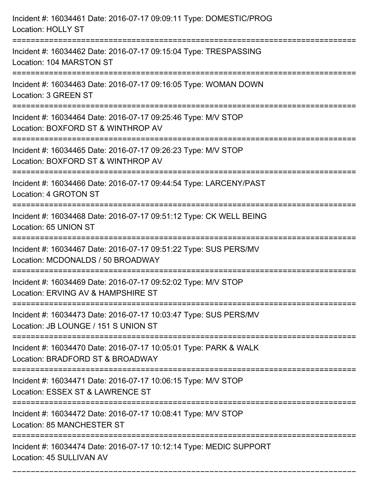| Incident #: 16034461 Date: 2016-07-17 09:09:11 Type: DOMESTIC/PROG<br><b>Location: HOLLY ST</b>                                                                       |
|-----------------------------------------------------------------------------------------------------------------------------------------------------------------------|
| Incident #: 16034462 Date: 2016-07-17 09:15:04 Type: TRESPASSING<br>Location: 104 MARSTON ST                                                                          |
| Incident #: 16034463 Date: 2016-07-17 09:16:05 Type: WOMAN DOWN<br>Location: 3 GREEN ST<br>==================================<br>==================================== |
| Incident #: 16034464 Date: 2016-07-17 09:25:46 Type: M/V STOP<br>Location: BOXFORD ST & WINTHROP AV                                                                   |
| Incident #: 16034465 Date: 2016-07-17 09:26:23 Type: M/V STOP<br>Location: BOXFORD ST & WINTHROP AV<br>:==============                                                |
| Incident #: 16034466 Date: 2016-07-17 09:44:54 Type: LARCENY/PAST<br>Location: 4 GROTON ST                                                                            |
| Incident #: 16034468 Date: 2016-07-17 09:51:12 Type: CK WELL BEING<br>Location: 65 UNION ST                                                                           |
| Incident #: 16034467 Date: 2016-07-17 09:51:22 Type: SUS PERS/MV<br>Location: MCDONALDS / 50 BROADWAY                                                                 |
| Incident #: 16034469 Date: 2016-07-17 09:52:02 Type: M/V STOP<br>Location: ERVING AV & HAMPSHIRE ST                                                                   |
| Incident #: 16034473 Date: 2016-07-17 10:03:47 Type: SUS PERS/MV<br>Location: JB LOUNGE / 151 S UNION ST                                                              |
| Incident #: 16034470 Date: 2016-07-17 10:05:01 Type: PARK & WALK<br>Location: BRADFORD ST & BROADWAY                                                                  |
| Incident #: 16034471 Date: 2016-07-17 10:06:15 Type: M/V STOP<br>Location: ESSEX ST & LAWRENCE ST                                                                     |
| Incident #: 16034472 Date: 2016-07-17 10:08:41 Type: M/V STOP<br>Location: 85 MANCHESTER ST                                                                           |
| Incident #: 16034474 Date: 2016-07-17 10:12:14 Type: MEDIC SUPPORT<br>Location: 45 SULLIVAN AV                                                                        |

===========================================================================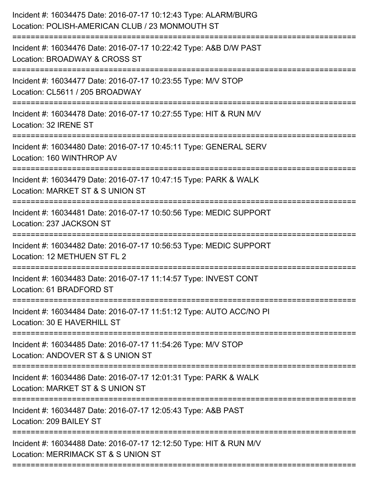| Incident #: 16034475 Date: 2016-07-17 10:12:43 Type: ALARM/BURG<br>Location: POLISH-AMERICAN CLUB / 23 MONMOUTH ST          |
|-----------------------------------------------------------------------------------------------------------------------------|
| Incident #: 16034476 Date: 2016-07-17 10:22:42 Type: A&B D/W PAST<br>Location: BROADWAY & CROSS ST                          |
| Incident #: 16034477 Date: 2016-07-17 10:23:55 Type: M/V STOP<br>Location: CL5611 / 205 BROADWAY<br>;====================== |
| Incident #: 16034478 Date: 2016-07-17 10:27:55 Type: HIT & RUN M/V<br>Location: 32 IRENE ST                                 |
| Incident #: 16034480 Date: 2016-07-17 10:45:11 Type: GENERAL SERV<br>Location: 160 WINTHROP AV                              |
| Incident #: 16034479 Date: 2016-07-17 10:47:15 Type: PARK & WALK<br>Location: MARKET ST & S UNION ST                        |
| Incident #: 16034481 Date: 2016-07-17 10:50:56 Type: MEDIC SUPPORT<br>Location: 237 JACKSON ST                              |
| Incident #: 16034482 Date: 2016-07-17 10:56:53 Type: MEDIC SUPPORT<br>Location: 12 METHUEN ST FL 2                          |
| Incident #: 16034483 Date: 2016-07-17 11:14:57 Type: INVEST CONT<br>Location: 61 BRADFORD ST                                |
| Incident #: 16034484 Date: 2016-07-17 11:51:12 Type: AUTO ACC/NO PI<br>Location: 30 E HAVERHILL ST                          |
| Incident #: 16034485 Date: 2016-07-17 11:54:26 Type: M/V STOP<br>Location: ANDOVER ST & S UNION ST                          |
| Incident #: 16034486 Date: 2016-07-17 12:01:31 Type: PARK & WALK<br>Location: MARKET ST & S UNION ST                        |
| Incident #: 16034487 Date: 2016-07-17 12:05:43 Type: A&B PAST<br>Location: 209 BAILEY ST                                    |
| Incident #: 16034488 Date: 2016-07-17 12:12:50 Type: HIT & RUN M/V<br>Location: MERRIMACK ST & S UNION ST                   |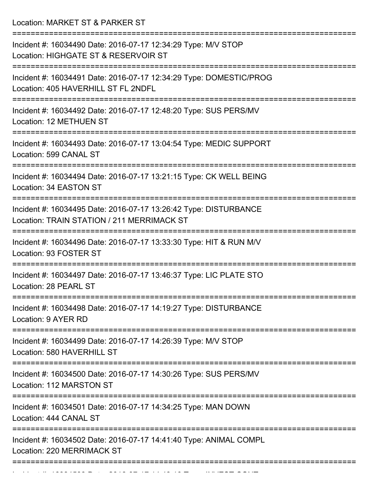Location: MARKET ST & PARKER ST

| Incident #: 16034490 Date: 2016-07-17 12:34:29 Type: M/V STOP<br>Location: HIGHGATE ST & RESERVOIR ST          |
|----------------------------------------------------------------------------------------------------------------|
| Incident #: 16034491 Date: 2016-07-17 12:34:29 Type: DOMESTIC/PROG<br>Location: 405 HAVERHILL ST FL 2NDFL      |
| Incident #: 16034492 Date: 2016-07-17 12:48:20 Type: SUS PERS/MV<br>Location: 12 METHUEN ST                    |
| Incident #: 16034493 Date: 2016-07-17 13:04:54 Type: MEDIC SUPPORT<br>Location: 599 CANAL ST                   |
| Incident #: 16034494 Date: 2016-07-17 13:21:15 Type: CK WELL BEING<br>Location: 34 EASTON ST                   |
| Incident #: 16034495 Date: 2016-07-17 13:26:42 Type: DISTURBANCE<br>Location: TRAIN STATION / 211 MERRIMACK ST |
| Incident #: 16034496 Date: 2016-07-17 13:33:30 Type: HIT & RUN M/V<br>Location: 93 FOSTER ST                   |
| Incident #: 16034497 Date: 2016-07-17 13:46:37 Type: LIC PLATE STO<br>Location: 28 PEARL ST                    |
| Incident #: 16034498 Date: 2016-07-17 14:19:27 Type: DISTURBANCE<br>Location: 9 AYER RD                        |
| Incident #: 16034499 Date: 2016-07-17 14:26:39 Type: M/V STOP<br>Location: 580 HAVERHILL ST                    |
| Incident #: 16034500 Date: 2016-07-17 14:30:26 Type: SUS PERS/MV<br>Location: 112 MARSTON ST                   |
| Incident #: 16034501 Date: 2016-07-17 14:34:25 Type: MAN DOWN<br>Location: 444 CANAL ST                        |
| Incident #: 16034502 Date: 2016-07-17 14:41:40 Type: ANIMAL COMPL<br>Location: 220 MERRIMACK ST                |
|                                                                                                                |

Incident #: 16034503 Date: 2016 07 17 14:48:10 Type: INVEST CONT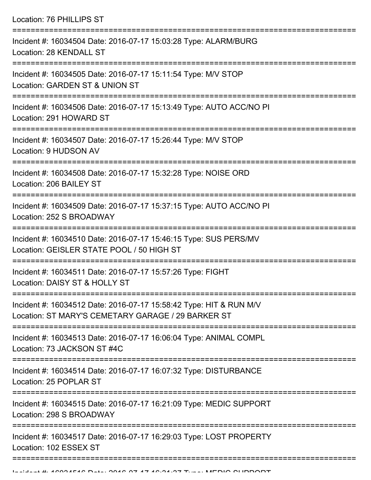Location: 76 PHILLIPS ST =========================================================================== Incident #: 16034504 Date: 2016-07-17 15:03:28 Type: ALARM/BURG Location: 28 KENDALL ST =========================================================================== Incident #: 16034505 Date: 2016-07-17 15:11:54 Type: M/V STOP Location: GARDEN ST & UNION ST =========================================================================== Incident #: 16034506 Date: 2016-07-17 15:13:49 Type: AUTO ACC/NO PI Location: 291 HOWARD ST =========================================================================== Incident #: 16034507 Date: 2016-07-17 15:26:44 Type: M/V STOP Location: 9 HUDSON AV =========================================================================== Incident #: 16034508 Date: 2016-07-17 15:32:28 Type: NOISE ORD Location: 206 BAILEY ST =========================================================================== Incident #: 16034509 Date: 2016-07-17 15:37:15 Type: AUTO ACC/NO PI Location: 252 S BROADWAY =========================================================================== Incident #: 16034510 Date: 2016-07-17 15:46:15 Type: SUS PERS/MV Location: GEISLER STATE POOL / 50 HIGH ST =========================================================================== Incident #: 16034511 Date: 2016-07-17 15:57:26 Type: FIGHT Location: DAISY ST & HOLLY ST =========================================================================== Incident #: 16034512 Date: 2016-07-17 15:58:42 Type: HIT & RUN M/V Location: ST MARY'S CEMETARY GARAGE / 29 BARKER ST =========================================================================== Incident #: 16034513 Date: 2016-07-17 16:06:04 Type: ANIMAL COMPL Location: 73 JACKSON ST #4C =========================================================================== Incident #: 16034514 Date: 2016-07-17 16:07:32 Type: DISTURBANCE Location: 25 POPLAR ST =========================================================================== Incident #: 16034515 Date: 2016-07-17 16:21:09 Type: MEDIC SUPPORT Location: 298 S BROADWAY =========================================================================== Incident #: 16034517 Date: 2016-07-17 16:29:03 Type: LOST PROPERTY Location: 102 ESSEX ST ===========================================================================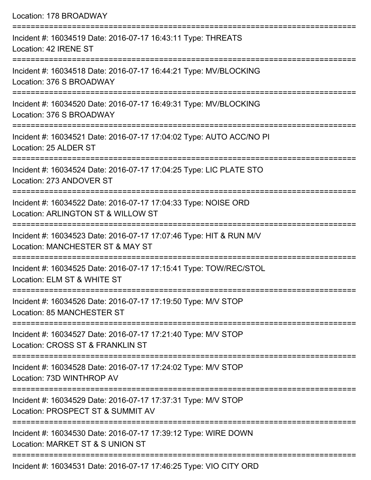| Location: 178 BROADWAY                                                                                                              |
|-------------------------------------------------------------------------------------------------------------------------------------|
| Incident #: 16034519 Date: 2016-07-17 16:43:11 Type: THREATS<br>Location: 42 IRENE ST<br>:================================          |
| Incident #: 16034518 Date: 2016-07-17 16:44:21 Type: MV/BLOCKING<br>Location: 376 S BROADWAY                                        |
| Incident #: 16034520 Date: 2016-07-17 16:49:31 Type: MV/BLOCKING<br>Location: 376 S BROADWAY<br>:================================== |
| Incident #: 16034521 Date: 2016-07-17 17:04:02 Type: AUTO ACC/NO PI<br>Location: 25 ALDER ST                                        |
| Incident #: 16034524 Date: 2016-07-17 17:04:25 Type: LIC PLATE STO<br>Location: 273 ANDOVER ST                                      |
| Incident #: 16034522 Date: 2016-07-17 17:04:33 Type: NOISE ORD<br>Location: ARLINGTON ST & WILLOW ST                                |
| :=================<br>Incident #: 16034523 Date: 2016-07-17 17:07:46 Type: HIT & RUN M/V<br>Location: MANCHESTER ST & MAY ST        |
| Incident #: 16034525 Date: 2016-07-17 17:15:41 Type: TOW/REC/STOL<br>Location: ELM ST & WHITE ST                                    |
| ====================================<br>Incident #: 16034526 Date: 2016-07-17 17:19:50 Type: M/V STOP<br>Location: 85 MANCHESTER ST |
| ===============<br>Incident #: 16034527 Date: 2016-07-17 17:21:40 Type: M/V STOP<br>Location: CROSS ST & FRANKLIN ST                |
| Incident #: 16034528 Date: 2016-07-17 17:24:02 Type: M/V STOP<br>Location: 73D WINTHROP AV                                          |
| Incident #: 16034529 Date: 2016-07-17 17:37:31 Type: M/V STOP<br>Location: PROSPECT ST & SUMMIT AV                                  |
| Incident #: 16034530 Date: 2016-07-17 17:39:12 Type: WIRE DOWN<br>Location: MARKET ST & S UNION ST                                  |
| <u>B (8408747474085T) USANTVAR</u>                                                                                                  |

Incident #: 16034531 Date: 2016-07-17 17:46:25 Type: VIO CITY ORD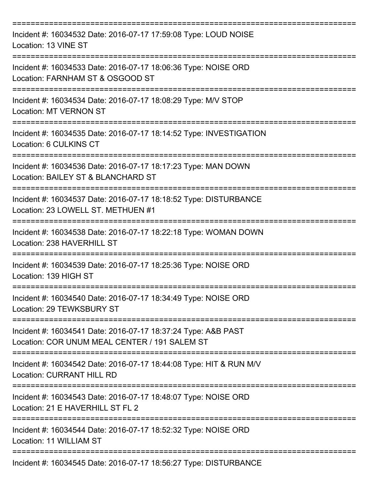| Incident #: 16034532 Date: 2016-07-17 17:59:08 Type: LOUD NOISE<br>Location: 13 VINE ST                        |
|----------------------------------------------------------------------------------------------------------------|
| Incident #: 16034533 Date: 2016-07-17 18:06:36 Type: NOISE ORD<br>Location: FARNHAM ST & OSGOOD ST             |
| Incident #: 16034534 Date: 2016-07-17 18:08:29 Type: M/V STOP<br><b>Location: MT VERNON ST</b>                 |
| Incident #: 16034535 Date: 2016-07-17 18:14:52 Type: INVESTIGATION<br>Location: 6 CULKINS CT                   |
| Incident #: 16034536 Date: 2016-07-17 18:17:23 Type: MAN DOWN<br>Location: BAILEY ST & BLANCHARD ST            |
| Incident #: 16034537 Date: 2016-07-17 18:18:52 Type: DISTURBANCE<br>Location: 23 LOWELL ST. METHUEN #1         |
| Incident #: 16034538 Date: 2016-07-17 18:22:18 Type: WOMAN DOWN<br>Location: 238 HAVERHILL ST                  |
| Incident #: 16034539 Date: 2016-07-17 18:25:36 Type: NOISE ORD<br>Location: 139 HIGH ST                        |
| Incident #: 16034540 Date: 2016-07-17 18:34:49 Type: NOISE ORD<br>Location: 29 TEWKSBURY ST                    |
| Incident #: 16034541 Date: 2016-07-17 18:37:24 Type: A&B PAST<br>Location: COR UNUM MEAL CENTER / 191 SALEM ST |
| Incident #: 16034542 Date: 2016-07-17 18:44:08 Type: HIT & RUN M/V<br><b>Location: CURRANT HILL RD</b>         |
| Incident #: 16034543 Date: 2016-07-17 18:48:07 Type: NOISE ORD<br>Location: 21 E HAVERHILL ST FL 2             |
| Incident #: 16034544 Date: 2016-07-17 18:52:32 Type: NOISE ORD<br>Location: 11 WILLIAM ST                      |
| Incident #: 16034545 Date: 2016-07-17 18:56:27 Type: DISTURBANCE                                               |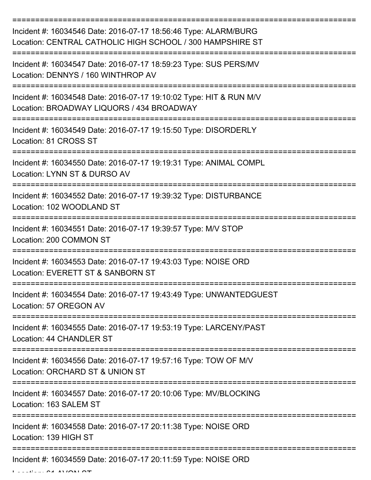| Incident #: 16034546 Date: 2016-07-17 18:56:46 Type: ALARM/BURG<br>Location: CENTRAL CATHOLIC HIGH SCHOOL / 300 HAMPSHIRE ST |
|------------------------------------------------------------------------------------------------------------------------------|
| Incident #: 16034547 Date: 2016-07-17 18:59:23 Type: SUS PERS/MV<br>Location: DENNYS / 160 WINTHROP AV                       |
| Incident #: 16034548 Date: 2016-07-17 19:10:02 Type: HIT & RUN M/V<br>Location: BROADWAY LIQUORS / 434 BROADWAY              |
| Incident #: 16034549 Date: 2016-07-17 19:15:50 Type: DISORDERLY<br>Location: 81 CROSS ST                                     |
| Incident #: 16034550 Date: 2016-07-17 19:19:31 Type: ANIMAL COMPL<br>Location: LYNN ST & DURSO AV                            |
| Incident #: 16034552 Date: 2016-07-17 19:39:32 Type: DISTURBANCE<br>Location: 102 WOODLAND ST                                |
| Incident #: 16034551 Date: 2016-07-17 19:39:57 Type: M/V STOP<br>Location: 200 COMMON ST                                     |
| Incident #: 16034553 Date: 2016-07-17 19:43:03 Type: NOISE ORD<br>Location: EVERETT ST & SANBORN ST                          |
| Incident #: 16034554 Date: 2016-07-17 19:43:49 Type: UNWANTEDGUEST<br>Location: 57 OREGON AV                                 |
| Incident #: 16034555 Date: 2016-07-17 19:53:19 Type: LARCENY/PAST<br>Location: 44 CHANDLER ST                                |
| Incident #: 16034556 Date: 2016-07-17 19:57:16 Type: TOW OF M/V<br>Location: ORCHARD ST & UNION ST                           |
| Incident #: 16034557 Date: 2016-07-17 20:10:06 Type: MV/BLOCKING<br>Location: 163 SALEM ST                                   |
| Incident #: 16034558 Date: 2016-07-17 20:11:38 Type: NOISE ORD<br>Location: 139 HIGH ST                                      |
| Incident #: 16034559 Date: 2016-07-17 20:11:59 Type: NOISE ORD                                                               |

 $L = L^2 L^2 L^2$  of AVON  $\Omega$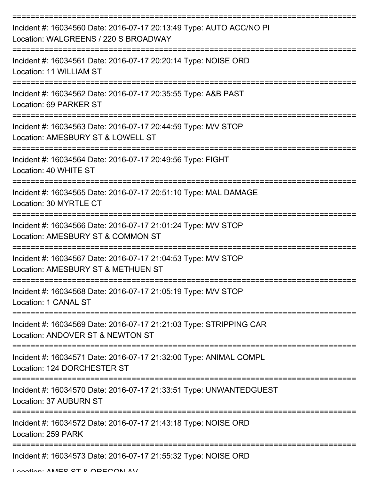| Incident #: 16034560 Date: 2016-07-17 20:13:49 Type: AUTO ACC/NO PI<br>Location: WALGREENS / 220 S BROADWAY                |
|----------------------------------------------------------------------------------------------------------------------------|
| Incident #: 16034561 Date: 2016-07-17 20:20:14 Type: NOISE ORD<br>Location: 11 WILLIAM ST                                  |
| Incident #: 16034562 Date: 2016-07-17 20:35:55 Type: A&B PAST<br>Location: 69 PARKER ST                                    |
| Incident #: 16034563 Date: 2016-07-17 20:44:59 Type: M/V STOP<br>Location: AMESBURY ST & LOWELL ST                         |
| Incident #: 16034564 Date: 2016-07-17 20:49:56 Type: FIGHT<br>Location: 40 WHITE ST                                        |
| Incident #: 16034565 Date: 2016-07-17 20:51:10 Type: MAL DAMAGE<br>Location: 30 MYRTLE CT                                  |
| Incident #: 16034566 Date: 2016-07-17 21:01:24 Type: M/V STOP<br>Location: AMESBURY ST & COMMON ST                         |
| Incident #: 16034567 Date: 2016-07-17 21:04:53 Type: M/V STOP<br>Location: AMESBURY ST & METHUEN ST                        |
| Incident #: 16034568 Date: 2016-07-17 21:05:19 Type: M/V STOP<br>Location: 1 CANAL ST                                      |
| ----------------<br>Incident #: 16034569 Date: 2016-07-17 21:21:03 Type: STRIPPING CAR<br>Location: ANDOVER ST & NEWTON ST |
| Incident #: 16034571 Date: 2016-07-17 21:32:00 Type: ANIMAL COMPL<br>Location: 124 DORCHESTER ST                           |
| Incident #: 16034570 Date: 2016-07-17 21:33:51 Type: UNWANTEDGUEST<br>Location: 37 AUBURN ST                               |
| Incident #: 16034572 Date: 2016-07-17 21:43:18 Type: NOISE ORD<br>Location: 259 PARK                                       |
| Incident #: 16034573 Date: 2016-07-17 21:55:32 Type: NOISE ORD                                                             |

Location: AMES ST & OREGON AV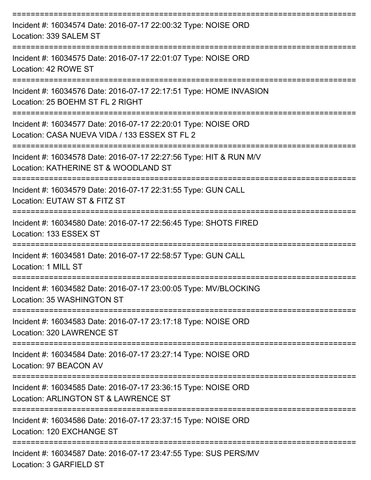| Incident #: 16034574 Date: 2016-07-17 22:00:32 Type: NOISE ORD<br>Location: 339 SALEM ST                        |
|-----------------------------------------------------------------------------------------------------------------|
| Incident #: 16034575 Date: 2016-07-17 22:01:07 Type: NOISE ORD<br>Location: 42 ROWE ST                          |
| Incident #: 16034576 Date: 2016-07-17 22:17:51 Type: HOME INVASION<br>Location: 25 BOEHM ST FL 2 RIGHT          |
| Incident #: 16034577 Date: 2016-07-17 22:20:01 Type: NOISE ORD<br>Location: CASA NUEVA VIDA / 133 ESSEX ST FL 2 |
| Incident #: 16034578 Date: 2016-07-17 22:27:56 Type: HIT & RUN M/V<br>Location: KATHERINE ST & WOODLAND ST      |
| Incident #: 16034579 Date: 2016-07-17 22:31:55 Type: GUN CALL<br>Location: EUTAW ST & FITZ ST                   |
| Incident #: 16034580 Date: 2016-07-17 22:56:45 Type: SHOTS FIRED<br>Location: 133 ESSEX ST                      |
| Incident #: 16034581 Date: 2016-07-17 22:58:57 Type: GUN CALL<br>Location: 1 MILL ST                            |
| Incident #: 16034582 Date: 2016-07-17 23:00:05 Type: MV/BLOCKING<br>Location: 35 WASHINGTON ST                  |
| Incident #: 16034583 Date: 2016-07-17 23:17:18 Type: NOISE ORD<br>Location: 320 LAWRENCE ST                     |
| Incident #: 16034584 Date: 2016-07-17 23:27:14 Type: NOISE ORD<br>Location: 97 BEACON AV                        |
| Incident #: 16034585 Date: 2016-07-17 23:36:15 Type: NOISE ORD<br>Location: ARLINGTON ST & LAWRENCE ST          |
| Incident #: 16034586 Date: 2016-07-17 23:37:15 Type: NOISE ORD<br>Location: 120 EXCHANGE ST                     |
| Incident #: 16034587 Date: 2016-07-17 23:47:55 Type: SUS PERS/MV<br>Location: 3 GARFIELD ST                     |